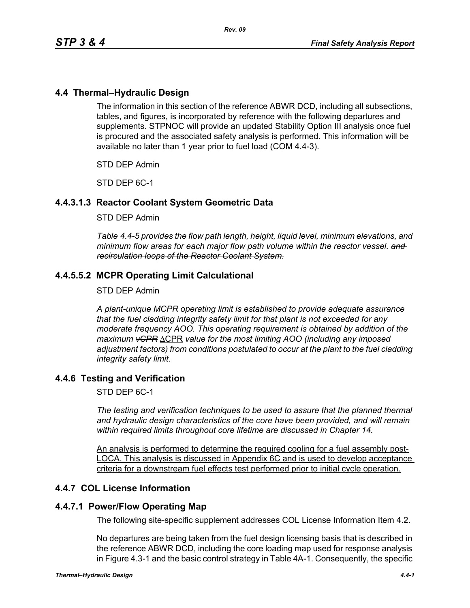# **4.4 Thermal–Hydraulic Design**

The information in this section of the reference ABWR DCD, including all subsections, tables, and figures, is incorporated by reference with the following departures and supplements. STPNOC will provide an updated Stability Option III analysis once fuel is procured and the associated safety analysis is performed. This information will be available no later than 1 year prior to fuel load (COM 4.4-3).

STD DEP Admin

STD DEP 6C-1

# **4.4.3.1.3 Reactor Coolant System Geometric Data**

#### STD DEP Admin

*Table 4.4-5 provides the flow path length, height, liquid level, minimum elevations, and minimum flow areas for each major flow path volume within the reactor vessel. and recirculation loops of the Reactor Coolant System.*

# **4.4.5.5.2 MCPR Operating Limit Calculational**

#### STD DEP Admin

*A plant-unique MCPR operating limit is established to provide adequate assurance that the fuel cladding integrity safety limit for that plant is not exceeded for any moderate frequency AOO. This operating requirement is obtained by addition of the maximum vCPR* ΔCPR *value for the most limiting AOO (including any imposed adjustment factors) from conditions postulated to occur at the plant to the fuel cladding integrity safety limit.*

## **4.4.6 Testing and Verification**

STD DEP 6C-1

*The testing and verification techniques to be used to assure that the planned thermal and hydraulic design characteristics of the core have been provided, and will remain within required limits throughout core lifetime are discussed in Chapter 14.*

An analysis is performed to determine the required cooling for a fuel assembly post-LOCA. This analysis is discussed in Appendix 6C and is used to develop acceptance criteria for a downstream fuel effects test performed prior to initial cycle operation.

## **4.4.7 COL License Information**

## **4.4.7.1 Power/Flow Operating Map**

The following site-specific supplement addresses COL License Information Item 4.2.

No departures are being taken from the fuel design licensing basis that is described in the reference ABWR DCD, including the core loading map used for response analysis in Figure 4.3-1 and the basic control strategy in Table 4A-1. Consequently, the specific